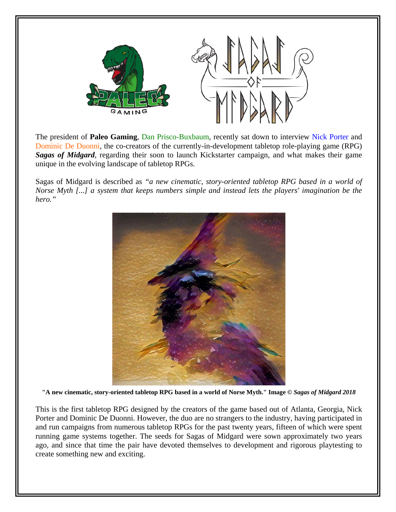

The president of **Paleo Gaming**, Dan Prisco-Buxbaum, recently sat down to interview Nick Porter and Dominic De Duonni, the co-creators of the currently-in-development tabletop role-playing game (RPG) *Sagas of Midgard*, regarding their soon to launch Kickstarter campaign, and what makes their game unique in the evolving landscape of tabletop RPGs.

Sagas of Midgard is described as *"a new cinematic, story-oriented tabletop RPG based in a world of Norse Myth [...] a system that keeps numbers simple and instead lets the players' imagination be the hero."*



**"A new cinematic, story-oriented tabletop RPG based in a world of Norse Myth." Image ©** *Sagas of Midgard 2018*

This is the first tabletop RPG designed by the creators of the game based out of Atlanta, Georgia, Nick Porter and Dominic De Duonni. However, the duo are no strangers to the industry, having participated in and run campaigns from numerous tabletop RPGs for the past twenty years, fifteen of which were spent running game systems together. The seeds for Sagas of Midgard were sown approximately two years ago, and since that time the pair have devoted themselves to development and rigorous playtesting to create something new and exciting.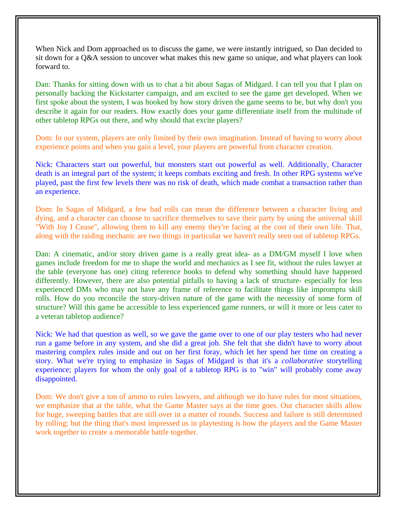When Nick and Dom approached us to discuss the game, we were instantly intrigued, so Dan decided to sit down for a Q&A session to uncover what makes this new game so unique, and what players can look forward to.

Dan: Thanks for sitting down with us to chat a bit about Sagas of Midgard. I can tell you that I plan on personally backing the Kickstarter campaign, and am excited to see the game get developed. When we first spoke about the system, I was hooked by how story driven the game seems to be, but why don't you describe it again for our readers. How exactly does your game differentiate itself from the multitude of other tabletop RPGs out there, and why should that excite players?

Dom: In our system, players are only limited by their own imagination. Instead of having to worry about experience points and when you gain a level, your players are powerful from character creation.

Nick: Characters start out powerful, but monsters start out powerful as well. Additionally, Character death is an integral part of the system; it keeps combats exciting and fresh. In other RPG systems we've played, past the first few levels there was no risk of death, which made combat a transaction rather than an experience.

Dom: In Sagas of Midgard, a few bad rolls can mean the difference between a character living and dying, and a character can choose to sacrifice themselves to save their party by using the universal skill "With Joy I Cease", allowing them to kill any enemy they're facing at the cost of their own life. That, along with the raiding mechanic are two things in particular we haven't really seen out of tabletop RPGs.

Dan: A cinematic, and/or story driven game is a really great idea- as a DM/GM myself I love when games include freedom for me to shape the world and mechanics as I see fit, without the rules lawyer at the table (everyone has one) citing reference books to defend why something should have happened differently. However, there are also potential pitfalls to having a lack of structure- especially for less experienced DMs who may not have any frame of reference to facilitate things like impromptu skill rolls. How do you reconcile the story-driven nature of the game with the necessity of some form of structure? Will this game be accessible to less experienced game runners, or will it more or less cater to a veteran tabletop audience?

Nick: We had that question as well, so we gave the game over to one of our play testers who had never run a game before in any system, and she did a great job. She felt that she didn't have to worry about mastering complex rules inside and out on her first foray, which let her spend her time on creating a story. What we're trying to emphasize in Sagas of Midgard is that it's a *collaborative* storytelling experience; players for whom the only goal of a tabletop RPG is to "win" will probably come away disappointed.

Dom: We don't give a ton of ammo to rules lawyers, and although we do have rules for most situations, we emphasize that at the table, what the Game Master says at the time goes. Our character skills allow for huge, sweeping battles that are still over in a matter of rounds. Success and failure is still determined by rolling; but the thing that's most impressed us in playtesting is how the players and the Game Master work together to create a memorable battle together.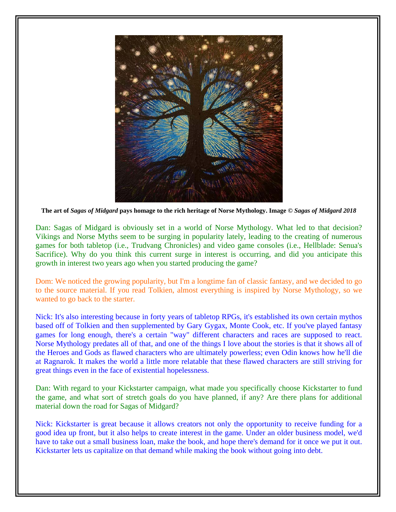

**The art of** *Sagas of Midgard* **pays homage to the rich heritage of Norse Mythology. Image ©** *Sagas of Midgard 2018*

Dan: Sagas of Midgard is obviously set in a world of Norse Mythology. What led to that decision? Vikings and Norse Myths seem to be surging in popularity lately, leading to the creating of numerous games for both tabletop (i.e., Trudvang Chronicles) and video game consoles (i.e., Hellblade: Senua's Sacrifice). Why do you think this current surge in interest is occurring, and did you anticipate this growth in interest two years ago when you started producing the game?

Dom: We noticed the growing popularity, but I'm a longtime fan of classic fantasy, and we decided to go to the source material. If you read Tolkien, almost everything is inspired by Norse Mythology, so we wanted to go back to the starter.

Nick: It's also interesting because in forty years of tabletop RPGs, it's established its own certain mythos based off of Tolkien and then supplemented by Gary Gygax, Monte Cook, etc. If you've played fantasy games for long enough, there's a certain "way" different characters and races are supposed to react. Norse Mythology predates all of that, and one of the things I love about the stories is that it shows all of the Heroes and Gods as flawed characters who are ultimately powerless; even Odin knows how he'll die at Ragnarok. It makes the world a little more relatable that these flawed characters are still striving for great things even in the face of existential hopelessness.

Dan: With regard to your Kickstarter campaign, what made you specifically choose Kickstarter to fund the game, and what sort of stretch goals do you have planned, if any? Are there plans for additional material down the road for Sagas of Midgard?

Nick: Kickstarter is great because it allows creators not only the opportunity to receive funding for a good idea up front, but it also helps to create interest in the game. Under an older business model, we'd have to take out a small business loan, make the book, and hope there's demand for it once we put it out. Kickstarter lets us capitalize on that demand while making the book without going into debt.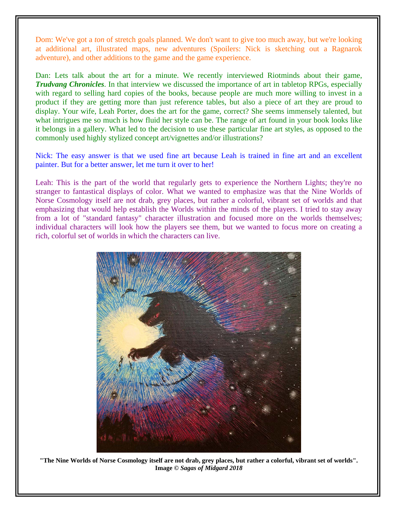Dom: We've got a *ton* of stretch goals planned. We don't want to give too much away, but we're looking at additional art, illustrated maps, new adventures (Spoilers: Nick is sketching out a Ragnarok adventure), and other additions to the game and the game experience.

Dan: Lets talk about the art for a minute. We recently interviewed Riotminds about their game, *Trudvang Chronicles*. In that interview we discussed the importance of art in tabletop RPGs, especially with regard to selling hard copies of the books, because people are much more willing to invest in a product if they are getting more than just reference tables, but also a piece of art they are proud to display. Your wife, Leah Porter, does the art for the game, correct? She seems immensely talented, but what intrigues me so much is how fluid her style can be. The range of art found in your book looks like it belongs in a gallery. What led to the decision to use these particular fine art styles, as opposed to the commonly used highly stylized concept art/vignettes and/or illustrations?

Nick: The easy answer is that we used fine art because Leah is trained in fine art and an excellent painter. But for a better answer, let me turn it over to her!

Leah: This is the part of the world that regularly gets to experience the Northern Lights; they're no stranger to fantastical displays of color. What we wanted to emphasize was that the Nine Worlds of Norse Cosmology itself are not drab, grey places, but rather a colorful, vibrant set of worlds and that emphasizing that would help establish the Worlds within the minds of the players. I tried to stay away from a lot of "standard fantasy" character illustration and focused more on the worlds themselves; individual characters will look how the players see them, but we wanted to focus more on creating a rich, colorful set of worlds in which the characters can live.



**"The Nine Worlds of Norse Cosmology itself are not drab, grey places, but rather a colorful, vibrant set of worlds". Image ©** *Sagas of Midgard 2018*